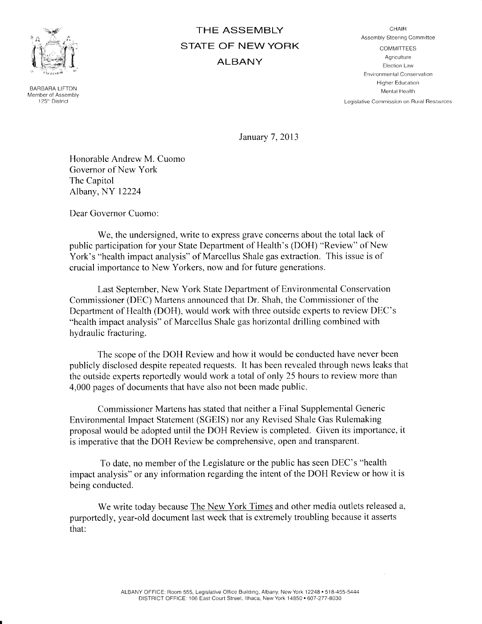

BARBARA LIFTON Member of Assembly 125r' District

## THE ASSEMBLY STATE OF NEW YORK ALBANY

**CHAIR** Assembly Steering Committee

COMMITTEES Agriculture Election Law Environmental Conservation Higher Education Mental Health

Legislative Commission on Rural Besources

January 7,2013

Honorable Andrew M. Cuomo Governor of New York The Capitol Albany, NY 12224

Dear Governor Cuomo:

We, the undersigned, write to express grave concerns about the total lack of public participation for your State Department of Health's (DOH) "Review" of New York's "health impact analysis" of Marcellus Shale gas extraction. This issue is of crucial importance to New Yorkers, now and fbr future generations.

Last September, New York State Department of Environmental Conservation Commissioner (DEC) Martens announced that Dr. Shah, the Commissioner o{'the Department of Health (DOH), would work with three outside experts to review DEC's "health impact analysis" of Marcellus Shale gas horizontal drilling combined with hydraulic fracturing.

The scope of the DOH Review and how it would be conducted have never been publicly disclosed despite repeated requests. It has been revealed through news leaks that the outside experts reportedly would work a total of only 25 hours to review more than 4,000 pages of documents that have also not been made public.

Commissioner Martens has stated that neither a Final Supplemental Generic Environmental Impact Statement (SGEfS) nor any Revised Shale Gas Rulemaking proposal would be adopted until the DOH Review is completed. Given its importance, it is imperative that the DOH Review be comprehensive, open and transparent.

To date, no member of the Legislature or the public has seen DEC's "health impact analysis" or any information regarding the intent of the DOH Review or how it is being conducted.

We write today because The New York Times and other media outlets released a, purportedly, year-old document last week that is extremely troubling because it asserts that: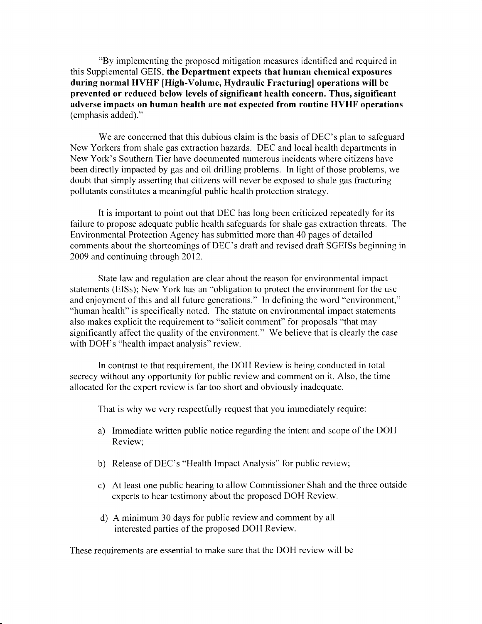"By implementing the proposed mitigation measures identified and required in this Supplemental GEIS, the Department expects that human chemical exposures during normal HVHF IHigh-Volume, Hydraulic Fracturingl operations will be prevented or reduced below levels of significant health concern. Thus, significant adverse impacts on human health are not expected from routine HVHF operations (emphasis added)."

We are concerned that this dubious claim is the basis of DEC's plan to safeguard New Yorkers from shale gas extraction hazards. DEC and local health departments in New York's Southern Tier have documented numerous incidents where citizens have been directly impacted by gas and oil drilling problems. In light of those problems, we doubt that simply asserting that citizens will never be exposed to shale gas fracturing pollutants constitutes a meaningful public health protection strategy.

It is important to point out that DEC has long been criticized repeatedly for its failure to propose adequate public health safeguards for shale gas extraction threats. The Environmental Protection Agency has submitted more than 40 pages of detailed comments about the shortcomings of DEC's draft and revised draft SGEISs beginning in 2009 and continuing through 2012.

State law and regulation are clear about the reason for environmental impact statements (EISs); New York has an "obligation to protect the environment for the use and enjoyment of this and all future generations." In defining the word "environment," "human health" is specifically noted. The statute on environmental impact statements also makes explicit the requirement to "solicit comment" for proposals "that may significantly affect the quality of the environment." We believe that is clearly the case with DOH's "health impact analysis" review.

In contrast to that requirement, the DOH Review is being conducted in total secrecy without any opportunity for public review and comment on it. Also, the time allocated fbr the expert review is far too short and obviously inadequate.

That is why we very respectfully request that you immediately require:

- a) Immediate written public notice regarding the intent and scope of the DOH Review;
- b) Release of DEC's "Health Impact Analysis" for public review;
- c) At least one public hearing to allow Commissioner Shah and the three outside experts to hear testimony about the proposed DOH Review.
- d) A minimum 30 days for public review and comment by all interested parties of the proposed DOH Review.

These requirements are essential to make sure that the DOH review will be